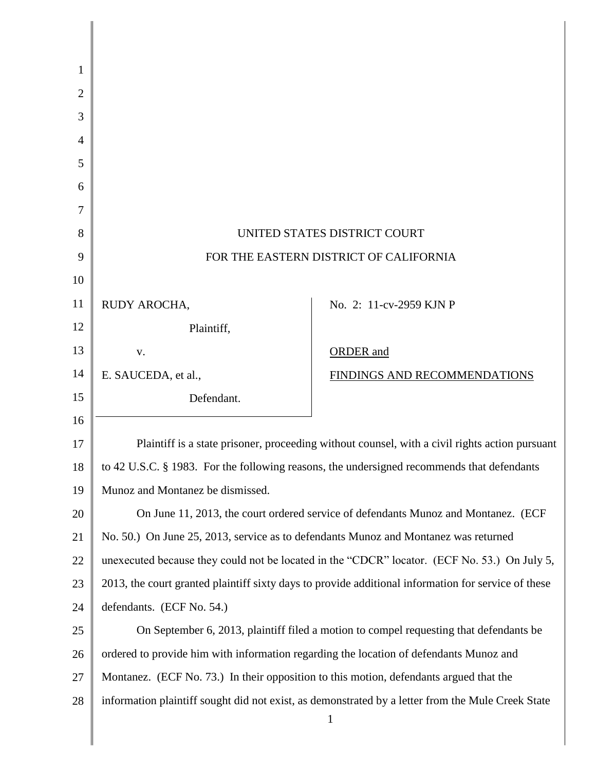| 1  |                                                                                                |                                                                                                        |
|----|------------------------------------------------------------------------------------------------|--------------------------------------------------------------------------------------------------------|
| 2  |                                                                                                |                                                                                                        |
| 3  |                                                                                                |                                                                                                        |
| 4  |                                                                                                |                                                                                                        |
| 5  |                                                                                                |                                                                                                        |
| 6  |                                                                                                |                                                                                                        |
| 7  |                                                                                                |                                                                                                        |
| 8  | UNITED STATES DISTRICT COURT                                                                   |                                                                                                        |
| 9  | FOR THE EASTERN DISTRICT OF CALIFORNIA                                                         |                                                                                                        |
| 10 |                                                                                                |                                                                                                        |
| 11 | RUDY AROCHA,                                                                                   | No. 2: 11-cv-2959 KJN P                                                                                |
| 12 | Plaintiff,                                                                                     |                                                                                                        |
| 13 | V.                                                                                             | <b>ORDER</b> and                                                                                       |
| 14 | E. SAUCEDA, et al.,                                                                            | FINDINGS AND RECOMMENDATIONS                                                                           |
| 15 | Defendant.                                                                                     |                                                                                                        |
| 16 |                                                                                                |                                                                                                        |
| 17 | Plaintiff is a state prisoner, proceeding without counsel, with a civil rights action pursuant |                                                                                                        |
| 18 | to 42 U.S.C. § 1983. For the following reasons, the undersigned recommends that defendants     |                                                                                                        |
| 19 | Munoz and Montanez be dismissed.                                                               |                                                                                                        |
| 20 | On June 11, 2013, the court ordered service of defendants Munoz and Montanez. (ECF             |                                                                                                        |
| 21 | No. 50.) On June 25, 2013, service as to defendants Munoz and Montanez was returned            |                                                                                                        |
| 22 |                                                                                                | unexecuted because they could not be located in the "CDCR" locator. (ECF No. 53.) On July 5,           |
| 23 |                                                                                                | 2013, the court granted plaintiff sixty days to provide additional information for service of these    |
| 24 | defendants. (ECF No. 54.)                                                                      |                                                                                                        |
| 25 | On September 6, 2013, plaintiff filed a motion to compel requesting that defendants be         |                                                                                                        |
| 26 | ordered to provide him with information regarding the location of defendants Munoz and         |                                                                                                        |
| 27 | Montanez. (ECF No. 73.) In their opposition to this motion, defendants argued that the         |                                                                                                        |
| 28 |                                                                                                | information plaintiff sought did not exist, as demonstrated by a letter from the Mule Creek State<br>1 |

I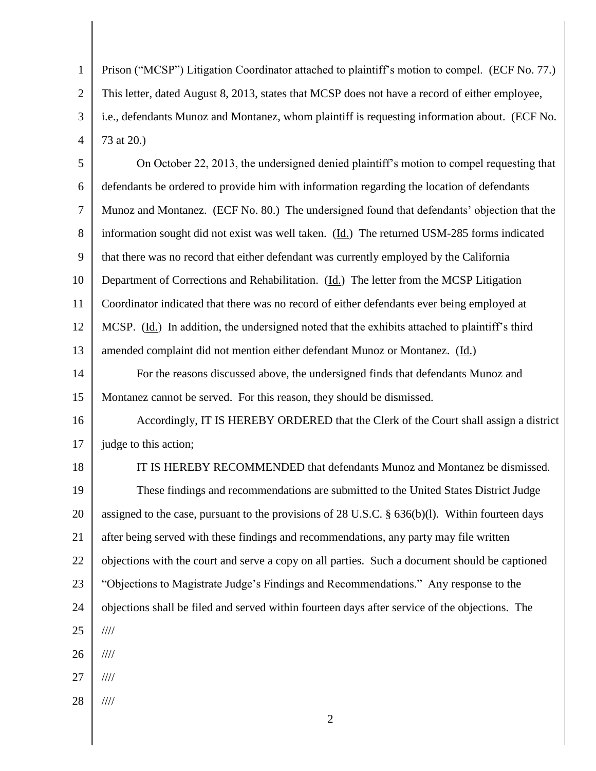1 2 3 4 Prison ("MCSP") Litigation Coordinator attached to plaintiff's motion to compel. (ECF No. 77.) This letter, dated August 8, 2013, states that MCSP does not have a record of either employee, i.e., defendants Munoz and Montanez, whom plaintiff is requesting information about. (ECF No. 73 at 20.)

5 6 7 8 9 10 11 12 13 14 15 16 17 18 19 20 21 22 23 24 25 26 27 28 On October 22, 2013, the undersigned denied plaintiff's motion to compel requesting that defendants be ordered to provide him with information regarding the location of defendants Munoz and Montanez. (ECF No. 80.) The undersigned found that defendants' objection that the information sought did not exist was well taken. (Id.) The returned USM-285 forms indicated that there was no record that either defendant was currently employed by the California Department of Corrections and Rehabilitation. (Id.) The letter from the MCSP Litigation Coordinator indicated that there was no record of either defendants ever being employed at MCSP. (Id.) In addition, the undersigned noted that the exhibits attached to plaintiff's third amended complaint did not mention either defendant Munoz or Montanez. (Id.) For the reasons discussed above, the undersigned finds that defendants Munoz and Montanez cannot be served. For this reason, they should be dismissed. Accordingly, IT IS HEREBY ORDERED that the Clerk of the Court shall assign a district judge to this action; IT IS HEREBY RECOMMENDED that defendants Munoz and Montanez be dismissed. These findings and recommendations are submitted to the United States District Judge assigned to the case, pursuant to the provisions of 28 U.S.C. § 636(b)(l). Within fourteen days after being served with these findings and recommendations, any party may file written objections with the court and serve a copy on all parties. Such a document should be captioned "Objections to Magistrate Judge's Findings and Recommendations." Any response to the objections shall be filed and served within fourteen days after service of the objections. The //// //// //// ////